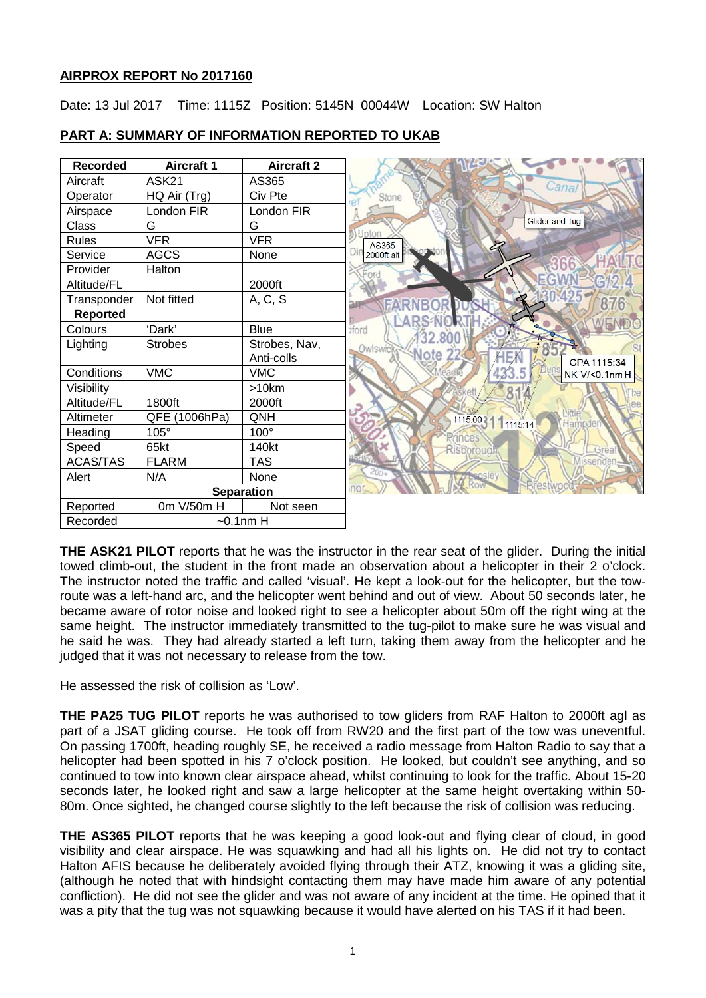## **AIRPROX REPORT No 2017160**

Date: 13 Jul 2017 Time: 1115Z Position: 5145N 00044W Location: SW Halton



# **PART A: SUMMARY OF INFORMATION REPORTED TO UKAB**

**THE ASK21 PILOT** reports that he was the instructor in the rear seat of the glider. During the initial towed climb-out, the student in the front made an observation about a helicopter in their 2 o'clock. The instructor noted the traffic and called 'visual'. He kept a look-out for the helicopter, but the towroute was a left-hand arc, and the helicopter went behind and out of view. About 50 seconds later, he became aware of rotor noise and looked right to see a helicopter about 50m off the right wing at the same height. The instructor immediately transmitted to the tug-pilot to make sure he was visual and he said he was. They had already started a left turn, taking them away from the helicopter and he judged that it was not necessary to release from the tow.

He assessed the risk of collision as 'Low'.

**THE PA25 TUG PILOT** reports he was authorised to tow gliders from RAF Halton to 2000ft agl as part of a JSAT gliding course. He took off from RW20 and the first part of the tow was uneventful. On passing 1700ft, heading roughly SE, he received a radio message from Halton Radio to say that a helicopter had been spotted in his 7 o'clock position. He looked, but couldn't see anything, and so continued to tow into known clear airspace ahead, whilst continuing to look for the traffic. About 15-20 seconds later, he looked right and saw a large helicopter at the same height overtaking within 50- 80m. Once sighted, he changed course slightly to the left because the risk of collision was reducing.

**THE AS365 PILOT** reports that he was keeping a good look-out and flying clear of cloud, in good visibility and clear airspace. He was squawking and had all his lights on. He did not try to contact Halton AFIS because he deliberately avoided flying through their ATZ, knowing it was a gliding site, (although he noted that with hindsight contacting them may have made him aware of any potential confliction). He did not see the glider and was not aware of any incident at the time. He opined that it was a pity that the tug was not squawking because it would have alerted on his TAS if it had been.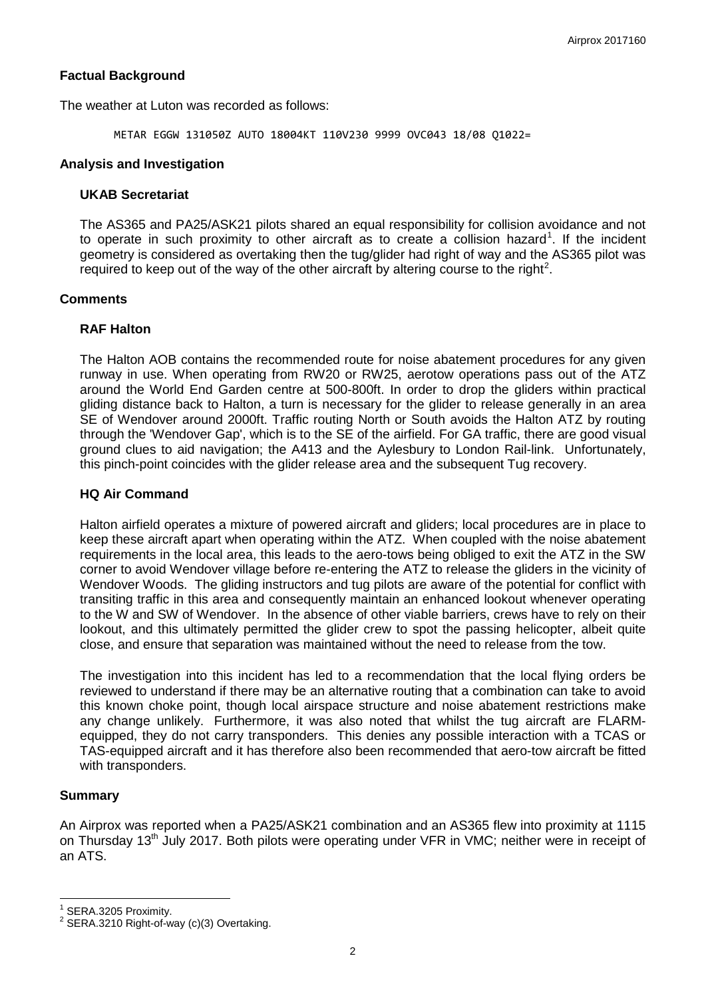## **Factual Background**

The weather at Luton was recorded as follows:

METAR EGGW 131050Z AUTO 18004KT 110V230 9999 OVC043 18/08 Q1022=

### **Analysis and Investigation**

#### **UKAB Secretariat**

The AS365 and PA25/ASK21 pilots shared an equal responsibility for collision avoidance and not to operate in such proximity to other aircraft as to create a collision hazard<sup>[1](#page-1-0)</sup>. If the incident geometry is considered as overtaking then the tug/glider had right of way and the AS365 pilot was required to keep out of the way of the other aircraft by altering course to the right<sup>[2](#page-1-1)</sup>.

### **Comments**

### **RAF Halton**

The Halton AOB contains the recommended route for noise abatement procedures for any given runway in use. When operating from RW20 or RW25, aerotow operations pass out of the ATZ around the World End Garden centre at 500-800ft. In order to drop the gliders within practical gliding distance back to Halton, a turn is necessary for the glider to release generally in an area SE of Wendover around 2000ft. Traffic routing North or South avoids the Halton ATZ by routing through the 'Wendover Gap', which is to the SE of the airfield. For GA traffic, there are good visual ground clues to aid navigation; the A413 and the Aylesbury to London Rail-link. Unfortunately, this pinch-point coincides with the glider release area and the subsequent Tug recovery.

## **HQ Air Command**

Halton airfield operates a mixture of powered aircraft and gliders; local procedures are in place to keep these aircraft apart when operating within the ATZ. When coupled with the noise abatement requirements in the local area, this leads to the aero-tows being obliged to exit the ATZ in the SW corner to avoid Wendover village before re-entering the ATZ to release the gliders in the vicinity of Wendover Woods. The gliding instructors and tug pilots are aware of the potential for conflict with transiting traffic in this area and consequently maintain an enhanced lookout whenever operating to the W and SW of Wendover. In the absence of other viable barriers, crews have to rely on their lookout, and this ultimately permitted the glider crew to spot the passing helicopter, albeit quite close, and ensure that separation was maintained without the need to release from the tow.

The investigation into this incident has led to a recommendation that the local flying orders be reviewed to understand if there may be an alternative routing that a combination can take to avoid this known choke point, though local airspace structure and noise abatement restrictions make any change unlikely. Furthermore, it was also noted that whilst the tug aircraft are FLARMequipped, they do not carry transponders. This denies any possible interaction with a TCAS or TAS-equipped aircraft and it has therefore also been recommended that aero-tow aircraft be fitted with transponders.

#### **Summary**

l

An Airprox was reported when a PA25/ASK21 combination and an AS365 flew into proximity at 1115 on Thursday 13<sup>th</sup> July 2017. Both pilots were operating under VFR in VMC; neither were in receipt of an ATS.

<span id="page-1-1"></span><span id="page-1-0"></span>

 $1$  SERA.3205 Proximity.<br> $2$  SERA.3210 Right-of-way (c)(3) Overtaking.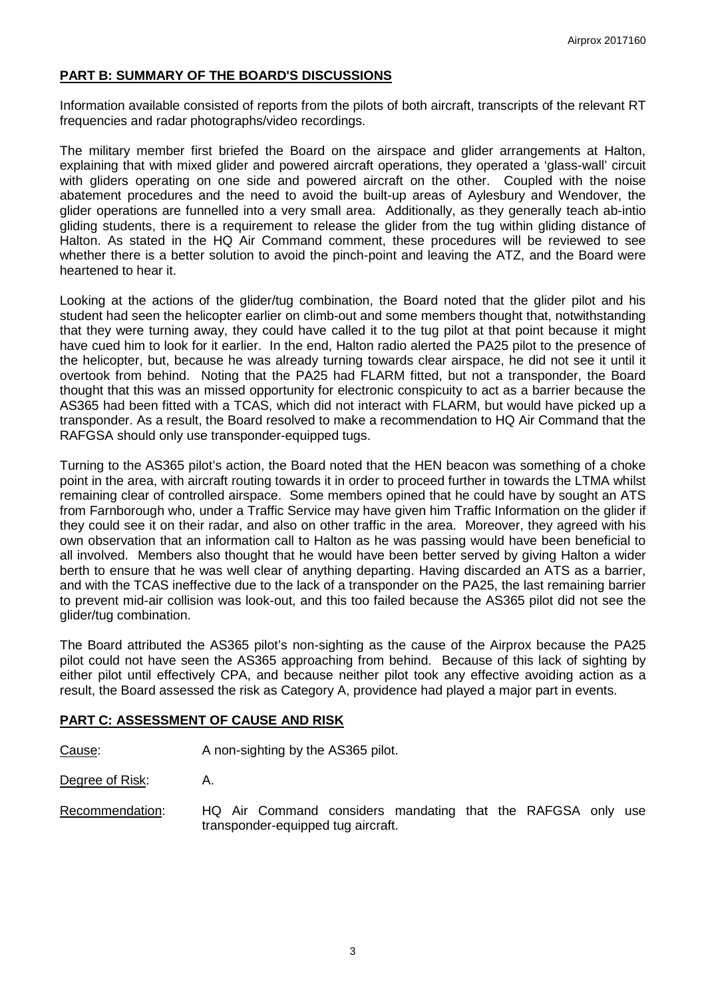# **PART B: SUMMARY OF THE BOARD'S DISCUSSIONS**

Information available consisted of reports from the pilots of both aircraft, transcripts of the relevant RT frequencies and radar photographs/video recordings.

The military member first briefed the Board on the airspace and glider arrangements at Halton, explaining that with mixed glider and powered aircraft operations, they operated a 'glass-wall' circuit with gliders operating on one side and powered aircraft on the other. Coupled with the noise abatement procedures and the need to avoid the built-up areas of Aylesbury and Wendover, the glider operations are funnelled into a very small area. Additionally, as they generally teach ab-intio gliding students, there is a requirement to release the glider from the tug within gliding distance of Halton. As stated in the HQ Air Command comment, these procedures will be reviewed to see whether there is a better solution to avoid the pinch-point and leaving the ATZ, and the Board were heartened to hear it.

Looking at the actions of the glider/tug combination, the Board noted that the glider pilot and his student had seen the helicopter earlier on climb-out and some members thought that, notwithstanding that they were turning away, they could have called it to the tug pilot at that point because it might have cued him to look for it earlier. In the end, Halton radio alerted the PA25 pilot to the presence of the helicopter, but, because he was already turning towards clear airspace, he did not see it until it overtook from behind. Noting that the PA25 had FLARM fitted, but not a transponder, the Board thought that this was an missed opportunity for electronic conspicuity to act as a barrier because the AS365 had been fitted with a TCAS, which did not interact with FLARM, but would have picked up a transponder. As a result, the Board resolved to make a recommendation to HQ Air Command that the RAFGSA should only use transponder-equipped tugs.

Turning to the AS365 pilot's action, the Board noted that the HEN beacon was something of a choke point in the area, with aircraft routing towards it in order to proceed further in towards the LTMA whilst remaining clear of controlled airspace. Some members opined that he could have by sought an ATS from Farnborough who, under a Traffic Service may have given him Traffic Information on the glider if they could see it on their radar, and also on other traffic in the area. Moreover, they agreed with his own observation that an information call to Halton as he was passing would have been beneficial to all involved. Members also thought that he would have been better served by giving Halton a wider berth to ensure that he was well clear of anything departing. Having discarded an ATS as a barrier, and with the TCAS ineffective due to the lack of a transponder on the PA25, the last remaining barrier to prevent mid-air collision was look-out, and this too failed because the AS365 pilot did not see the glider/tug combination.

The Board attributed the AS365 pilot's non-sighting as the cause of the Airprox because the PA25 pilot could not have seen the AS365 approaching from behind. Because of this lack of sighting by either pilot until effectively CPA, and because neither pilot took any effective avoiding action as a result, the Board assessed the risk as Category A, providence had played a major part in events.

## **PART C: ASSESSMENT OF CAUSE AND RISK**

Cause: A non-sighting by the AS365 pilot.

Degree of Risk: A.

Recommendation: HQ Air Command considers mandating that the RAFGSA only use transponder-equipped tug aircraft.